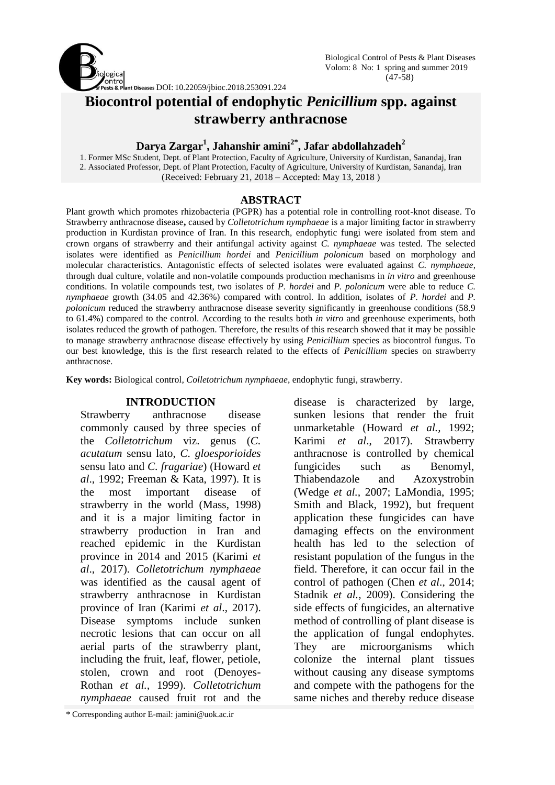

# **Biocontrol potential of endophytic** *Penicillium* **spp. against strawberry anthracnose**

# **Darya Zargar<sup>1</sup> , Jahanshir amini2\*, Jafar abdollahzadeh<sup>2</sup>**

1. Former MSc Student, Dept. of Plant Protection, Faculty of Agriculture, University of Kurdistan, Sanandaj, Iran 2. Associated Professor, Dept. of Plant Protection, Faculty of Agriculture, University of Kurdistan, Sanandaj, Iran (Received: February 21, 2018 – Accepted: May 13, 2018 )

### **ABSTRACT**

Plant growth which promotes rhizobacteria (PGPR) has a potential role in controlling root-knot disease. To Strawberry anthracnose disease**,** caused by *Colletotrichum nymphaeae* is a major limiting factor in strawberry production in Kurdistan province of Iran. In this research, endophytic fungi were isolated from stem and crown organs of strawberry and their antifungal activity against *C. nymphaeae* was tested. The selected isolates were identified as *Penicillium hordei* and *Penicillium polonicum* based on morphology and molecular characteristics. Antagonistic effects of selected isolates were evaluated against *C. nymphaeae*, through dual culture, volatile and non-volatile compounds production mechanisms in *in vitro* and greenhouse conditions. In volatile compounds test, two isolates of *P. hordei* and *P. polonicum* were able to reduce *C. nymphaeae* growth (34.05 and 42.36%) compared with control. In addition, isolates of *P. hordei* and *P. polonicum* reduced the strawberry anthracnose disease severity significantly in greenhouse conditions (58.9) to 61.4%) compared to the control. According to the results both *in vitro* and greenhouse experiments, both isolates reduced the growth of pathogen. Therefore, the results of this research showed that it may be possible to manage strawberry anthracnose disease effectively by using *Penicillium* species as biocontrol fungus. To our best knowledge, this is the first research related to the effects of *Penicillium* species on strawberry anthracnose.

**Key words:** Biological control*, Colletotrichum nymphaeae*, endophytic fungi*,* strawberry.

### **INTRODUCTION**

Strawberry anthracnose disease commonly caused by three species of the *Colletotrichum* viz. genus (*C. acutatum* sensu lato, *C. gloesporioides* sensu lato and *C. fragariae*) (Howard *et al*., 1992; Freeman & Kata, 1997). It is the most important disease of strawberry in the world (Mass, 1998) and it is a major limiting factor in strawberry production in Iran and reached epidemic in the Kurdistan province in 2014 and 2015 (Karimi *et al*., 2017). *Colletotrichum nymphaeae* was identified as the causal agent of strawberry anthracnose in Kurdistan province of Iran (Karimi *et al*., 2017). Disease symptoms include sunken necrotic lesions that can occur on all aerial parts of the strawberry plant, including the fruit, leaf, flower, petiole, stolen, crown and root (Denoyes-Rothan *et al.,* 1999). *Colletotrichum nymphaeae* caused fruit rot and the

\* Corresponding author E-mail: jamini@uok.ac.ir

disease is characterized by large, sunken lesions that render the fruit unmarketable (Howard *et al.,* 1992; Karimi *et al*., 2017). Strawberry anthracnose is controlled by chemical fungicides such as Benomyl, Thiabendazole and Azoxystrobin (Wedge *et al.,* 2007; LaMondia, 1995; Smith and Black, 1992), but frequent application these fungicides can have damaging effects on the environment health has led to the selection of resistant population of the fungus in the field. Therefore, it can occur fail in the control of pathogen (Chen *et al*., 2014; Stadnik *et al.,* 2009). Considering the side effects of fungicides, an alternative method of controlling of plant disease is the application of fungal endophytes. They are microorganisms which colonize the internal plant tissues without causing any disease symptoms and compete with the pathogens for the same niches and thereby reduce disease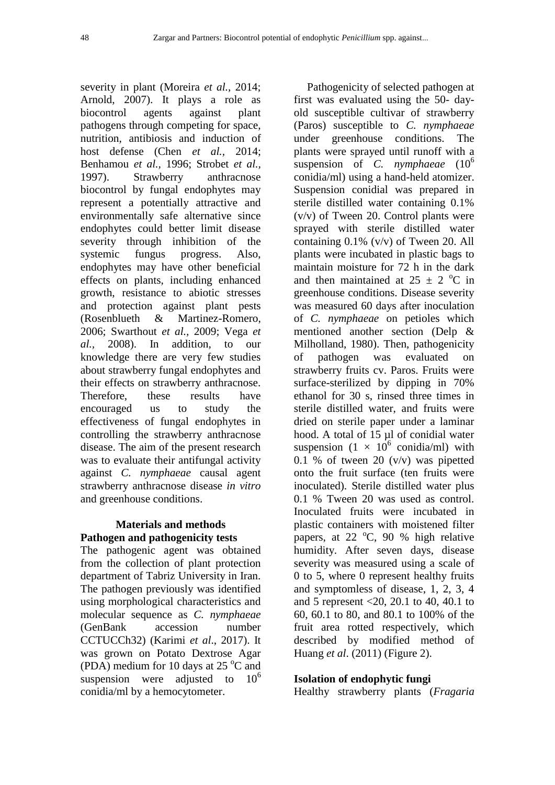severity in plant (Moreira *et al.,* 2014; Arnold, 2007). It plays a role as biocontrol agents against plant pathogens through competing for space, nutrition, antibiosis and induction of host defense (Chen *et al.,* 2014; Benhamou *et al.,* 1996; Strobet *et al.,* 1997). Strawberry anthracnose biocontrol by fungal endophytes may represent a potentially attractive and environmentally safe alternative since endophytes could better limit disease severity through inhibition of the systemic fungus progress. Also, endophytes may have other beneficial effects on plants, including enhanced growth, resistance to abiotic stresses and protection against plant pests (Rosenblueth & Martinez-Romero, 2006; Swarthout *et al.,* 2009; Vega *et al.,* 2008). In addition, to our knowledge there are very few studies about strawberry fungal endophytes and their effects on strawberry anthracnose. Therefore, these results have encouraged us to study the effectiveness of fungal endophytes in controlling the strawberry anthracnose disease. The aim of the present research was to evaluate their antifungal activity against *C. nymphaeae* causal agent strawberry anthracnose disease *in vitro* and greenhouse conditions.

### **Materials and methods Pathogen and pathogenicity tests**

The pathogenic agent was obtained from the collection of plant protection department of Tabriz University in Iran. The pathogen previously was identified using morphological characteristics and molecular sequence as *C. nymphaeae* (GenBank accession number CCTUCCh32) (Karimi *et al*., 2017). It was grown on Potato Dextrose Agar (PDA) medium for 10 days at 25  $\mathrm{^{\circ}C}$  and suspension were adjusted to  $10<sup>6</sup>$ conidia/ml by a hemocytometer.

Pathogenicity of selected pathogen at first was evaluated using the 50- dayold susceptible cultivar of strawberry (Paros) susceptible to *C. nymphaeae* under greenhouse conditions. The plants were sprayed until runoff with a suspension of *C. nymphaeae* (10<sup>6</sup> conidia/ml) using a hand-held atomizer. Suspension conidial was prepared in sterile distilled water containing 0.1% (v/v) of Tween 20. Control plants were sprayed with sterile distilled water containing 0.1% (v/v) of Tween 20. All plants were incubated in plastic bags to maintain moisture for 72 h in the dark and then maintained at  $25 \pm 2$  °C in greenhouse conditions. Disease severity was measured 60 days after inoculation of *C. nymphaeae* on petioles which mentioned another section (Delp & Milholland, 1980). Then, pathogenicity of pathogen was evaluated on strawberry fruits cv. Paros. Fruits were surface-sterilized by dipping in 70% ethanol for 30 s, rinsed three times in sterile distilled water, and fruits were dried on sterile paper under a laminar hood. A total of 15 µl of conidial water suspension  $(1 \times 10^6 \text{ conidi/ml})$  with 0.1 % of tween 20  $(v/v)$  was pipetted onto the fruit surface (ten fruits were inoculated). Sterile distilled water plus 0.1 % Tween 20 was used as control. Inoculated fruits were incubated in plastic containers with moistened filter papers, at  $22 \text{ °C}$ , 90 % high relative humidity. After seven days, disease severity was measured using a scale of 0 to 5, where 0 represent healthy fruits and symptomless of disease, 1, 2, 3, 4 and 5 represent <20, 20.1 to 40, 40.1 to 60, 60.1 to 80, and 80.1 to 100% of the fruit area rotted respectively, which described by modified method of Huang *et al*. (2011) (Figure 2).

## **Isolation of endophytic fungi**

Healthy strawberry plants (*Fragaria*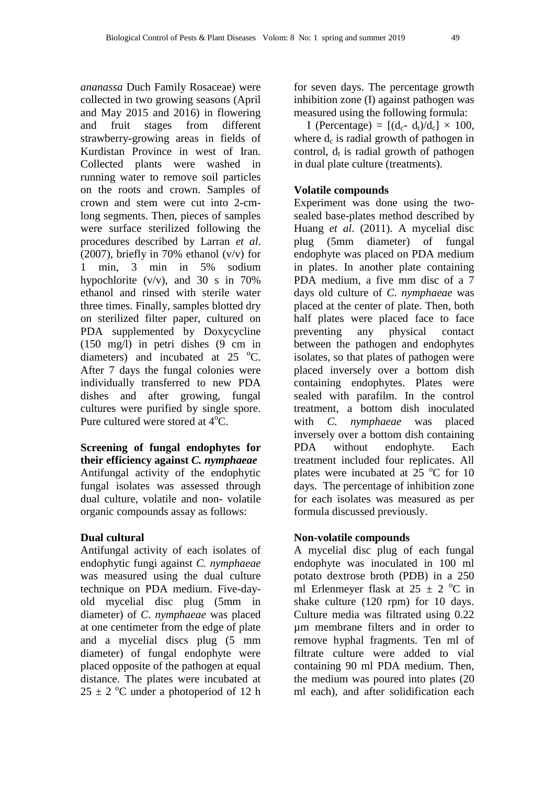*ananassa* Duch Family Rosaceae) were collected in two growing seasons (April and May 2015 and 2016) in flowering and fruit stages from different strawberry-growing areas in fields of Kurdistan Province in west of Iran. Collected plants were washed in running water to remove soil particles on the roots and crown. Samples of crown and stem were cut into 2-cmlong segments. Then, pieces of samples were surface sterilized following the procedures described by Larran *et al*. (2007), briefly in 70% ethanol (v/v) for 1 min, 3 min in 5% sodium hypochlorite  $(v/v)$ , and 30 s in 70% ethanol and rinsed with sterile water three times. Finally, samples blotted dry on sterilized filter paper, cultured on PDA supplemented by Doxycycline  $(150 \text{ mg/l})$  in petri dishes  $(9 \text{ cm in})$ diameters) and incubated at  $25 \text{ °C}$ . After 7 days the fungal colonies were individually transferred to new PDA dishes and after growing, fungal cultures were purified by single spore. Pure cultured were stored at  $4^{\circ}C$ .

**Screening of fungal endophytes for their efficiency against** *C. nymphaeae* Antifungal activity of the endophytic fungal isolates was assessed through dual culture, volatile and non- volatile organic compounds assay as follows:

# **Dual cultural**

Antifungal activity of each isolates of endophytic fungi against *C. nymphaeae* was measured using the dual culture technique on PDA medium. Five-dayold mycelial disc plug (5mm in diameter) of *C. nymphaeae* was placed at one centimeter from the edge of plate and a mycelial discs plug (5 mm diameter) of fungal endophyte were placed opposite of the pathogen at equal distance. The plates were incubated at  $25 \pm 2$  °C under a photoperiod of 12 h for seven days. The percentage growth inhibition zone (I) against pathogen was measured using the following formula:

I (Percentage) =  $[(d_c-d_t)/d_c] \times 100$ , where  $d_c$  is radial growth of pathogen in control,  $d_t$  is radial growth of pathogen in dual plate culture (treatments).

# **Volatile compounds**

Experiment was done using the twosealed base-plates method described by Huang *et al*. (2011). A mycelial disc plug (5mm diameter) of fungal endophyte was placed on PDA medium in plates. In another plate containing PDA medium, a five mm disc of a 7 days old culture of *C. nymphaeae* was placed at the center of plate. Then, both half plates were placed face to face preventing any physical contact between the pathogen and endophytes isolates, so that plates of pathogen were placed inversely over a bottom dish containing endophytes. Plates were sealed with parafilm. In the control treatment, a bottom dish inoculated with *C. nymphaeae* was placed inversely over a bottom dish containing PDA without endophyte. Each treatment included four replicates. All plates were incubated at  $25^{\circ}$ C for 10 days. The percentage of inhibition zone for each isolates was measured as per formula discussed previously.

## **Non-volatile compounds**

A mycelial disc plug of each fungal endophyte was inoculated in 100 ml potato dextrose broth (PDB) in a 250 ml Erlenmeyer flask at  $25 \pm 2$  °C in shake culture (120 rpm) for 10 days. Culture media was filtrated using 0.22 µm membrane filters and in order to remove hyphal fragments. Ten ml of filtrate culture were added to vial containing 90 ml PDA medium. Then, the medium was poured into plates (20 ml each), and after solidification each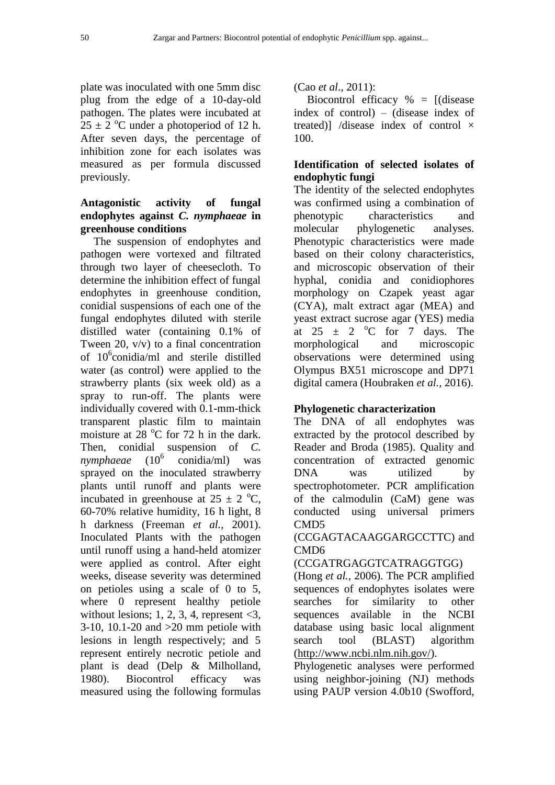plate was inoculated with one 5mm disc plug from the edge of a 10-day-old pathogen. The plates were incubated at  $25 \pm 2$  °C under a photoperiod of 12 h. After seven days, the percentage of inhibition zone for each isolates was measured as per formula discussed previously.

# **Antagonistic activity of fungal endophytes against** *C. nymphaeae* **in greenhouse conditions**

The suspension of endophytes and pathogen were vortexed and filtrated through two layer of cheesecloth. To determine the inhibition effect of fungal endophytes in greenhouse condition, conidial suspensions of each one of the fungal endophytes diluted with sterile distilled water (containing 0.1% of Tween 20, v/v) to a final concentration of 10<sup>6</sup>conidia/ml and sterile distilled water (as control) were applied to the strawberry plants (six week old) as a spray to run-off. The plants were individually covered with 0.1-mm-thick transparent plastic film to maintain moisture at 28  $^{\circ}$ C for 72 h in the dark. Then, conidial suspension of *C*.<br>*nymphaeae* (10<sup>6</sup> conidia/ml) was *nymphaeae* conidia/ml) was sprayed on the inoculated strawberry plants until runoff and plants were incubated in greenhouse at  $25 \pm 2$  °C, 60-70% relative humidity, 16 h light, 8 h darkness (Freeman *et al.,* 2001). Inoculated Plants with the pathogen until runoff using a hand-held atomizer were applied as control. After eight weeks, disease severity was determined on petioles using a scale of 0 to 5, where 0 represent healthy petiole without lesions; 1, 2, 3, 4, represent  $\leq 3$ , 3-10, 10.1-20 and >20 mm petiole with lesions in length respectively; and 5 represent entirely necrotic petiole and plant is dead (Delp & Milholland, 1980). Biocontrol efficacy was measured using the following formulas

(Cao *et al*., 2011):

Biocontrol efficacy  $% =$  [(disease index of control) – (disease index of treated)] /disease index of control  $\times$ 100.

# **Identification of selected isolates of endophytic fungi**

The identity of the selected endophytes was confirmed using a combination of phenotypic characteristics and molecular phylogenetic analyses. Phenotypic characteristics were made based on their colony characteristics, and microscopic observation of their hyphal, conidia and conidiophores morphology on Czapek yeast agar (CYA), malt extract agar (MEA) and yeast extract sucrose agar (YES) media at  $25 \pm 2$  °C for 7 days. The morphological and microscopic observations were determined using Olympus BX51 microscope and DP71 digital camera (Houbraken *et al.,* 2016).

# **Phylogenetic characterization**

The DNA of all endophytes was extracted by the protocol described by Reader and Broda (1985). Quality and concentration of extracted genomic DNA was utilized by spectrophotometer. PCR amplification of the calmodulin (CaM) gene was conducted using universal primers CMD5

# (CCGAGTACAAGGARGCCTTC) and CMD6

# (CCGATRGAGGTCATRAGGTGG)

(Hong *et al.,* 2006). The PCR amplified sequences of endophytes isolates were searches for similarity to other sequences available in the NCBI database using basic local alignment search tool (BLAST) algorithm (http://www.ncbi.nlm.nih.gov/).

Phylogenetic analyses were performed using neighbor-joining (NJ) methods using PAUP version 4.0b10 (Swofford,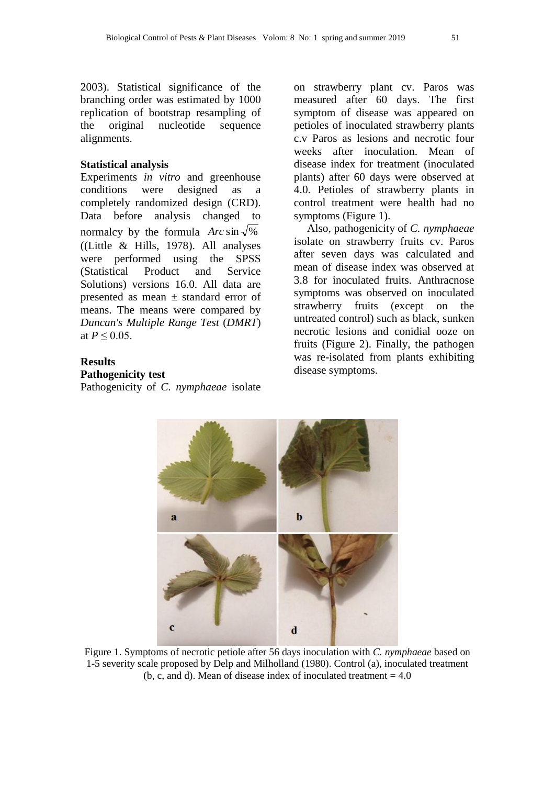2003). Statistical significance of the branching order was estimated by 1000 replication of bootstrap resampling of the original nucleotide sequence alignments.

#### **Statistical analysis**

Experiments *in vitro* and greenhouse conditions were designed as a completely randomized design (CRD). Data before analysis changed to normalcy by the formula  $Arc \sin \sqrt{\frac{1}{6}}$ ([\(Little & Hills, 1978\)](#page-10-0). All analyses were performed using the SPSS (Statistical Product and Service Solutions) versions 16.0. All data are presented as mean ± standard error of means. The means were compared by *Duncan's Multiple Range Test* (*DMRT*) at  $P \le 0.05$ .

# **Results**

#### **Pathogenicity test**

Pathogenicity of *C. nymphaeae* isolate

on strawberry plant cv. Paros was measured after 60 days. The first symptom of disease was appeared on petioles of inoculated strawberry plants c.v Paros as lesions and necrotic four weeks after inoculation. Mean of disease index for treatment (inoculated plants) after 60 days were observed at 4.0. Petioles of strawberry plants in control treatment were health had no symptoms (Figure 1).

Also, pathogenicity of *C. nymphaeae* isolate on strawberry fruits cv. Paros after seven days was calculated and mean of disease index was observed at 3.8 for inoculated fruits. Anthracnose symptoms was observed on inoculated strawberry fruits (except on the untreated control) such as black, sunken necrotic lesions and conidial ooze on fruits (Figure 2). Finally, the pathogen was re-isolated from plants exhibiting disease symptoms.



Figure 1. Symptoms of necrotic petiole after 56 days inoculation with *C. nymphaeae* based on 1-5 severity scale proposed by Delp and Milholland (1980). Control (a), inoculated treatment (b, c, and d). Mean of disease index of inoculated treatment  $= 4.0$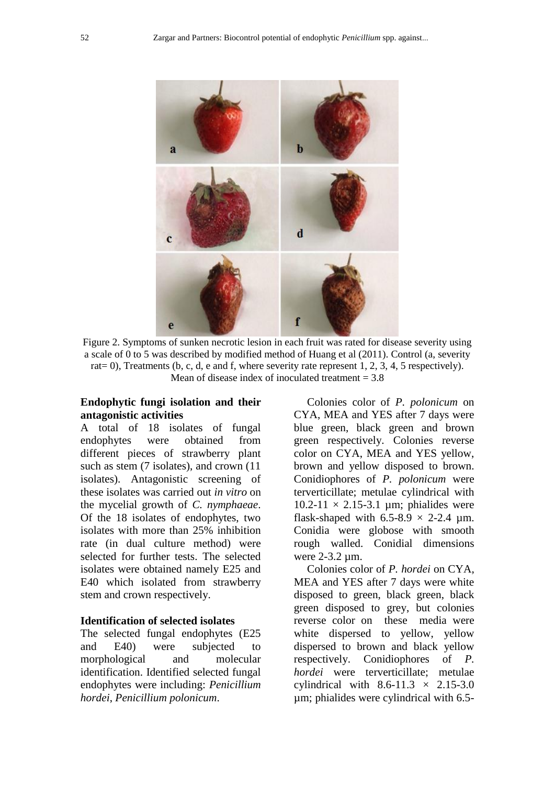

Figure 2. Symptoms of sunken necrotic lesion in each fruit was rated for disease severity using a scale of 0 to 5 was described by modified method of Huang et al (2011). Control (a, severity rat= 0), Treatments (b, c, d, e and f, where severity rate represent 1, 2, 3, 4, 5 respectively). Mean of disease index of inoculated treatment  $= 3.8$ 

### **Endophytic fungi isolation and their antagonistic activities**

A total of 18 isolates of fungal endophytes were obtained from different pieces of strawberry plant such as stem (7 isolates), and crown (11 isolates). Antagonistic screening of these isolates was carried out *in vitro* on the mycelial growth of *C. nymphaeae*. Of the 18 isolates of endophytes, two isolates with more than 25% inhibition rate (in dual culture method) were selected for further tests. The selected isolates were obtained namely E25 and E40 which isolated from strawberry stem and crown respectively.

### **Identification of selected isolates**

The selected fungal endophytes (E25 and E40) were subjected to morphological and molecular identification. Identified selected fungal endophytes were including: *Penicillium hordei*, *Penicillium polonicum*.

Colonies color of *P. polonicum* on CYA, MEA and YES after 7 days were blue green, black green and brown green respectively. Colonies reverse color on CYA, MEA and YES yellow, brown and yellow disposed to brown. Conidiophores of *P. polonicum* were terverticillate; metulae cylindrical with  $10.2-11 \times 2.15-3.1$  µm; phialides were flask-shaped with  $6.5-8.9 \times 2-2.4 \mu m$ . Conidia were globose with smooth rough walled. Conidial dimensions were 2-3.2 µm.

Colonies color of *P. hordei* on CYA, MEA and YES after 7 days were white disposed to green, black green, black green disposed to grey, but colonies reverse color on these media were white dispersed to yellow, yellow dispersed to brown and black yellow respectively. Conidiophores of *P. hordei* were terverticillate; metulae cylindrical with  $8.6-11.3 \times 2.15-3.0$ µm; phialides were cylindrical with 6.5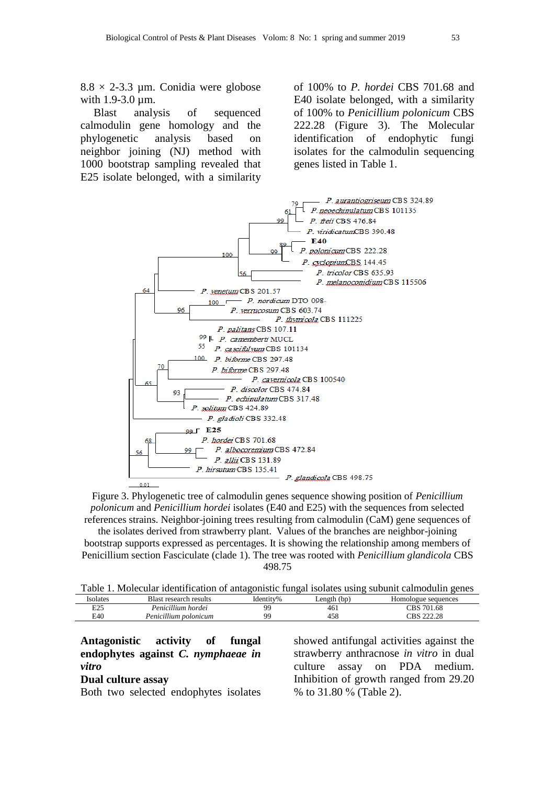$8.8 \times 2$ -3.3 µm. Conidia were globose with 1.9-3.0 um.

Blast analysis of sequenced calmodulin gene homology and the phylogenetic analysis based on neighbor joining (NJ) method with 1000 bootstrap sampling revealed that E25 isolate belonged, with a similarity of 100% to *P. hordei* CBS 701.68 and E40 isolate belonged, with a similarity of 100% to *Penicillium polonicum* CBS 222.28 (Figure 3). The Molecular identification of endophytic fungi isolates for the calmodulin sequencing genes listed in Table 1.



Figure 3. Phylogenetic tree of calmodulin genes sequence showing position of *Penicillium polonicum* and *Penicillium hordei* isolates (E40 and E25) with the sequences from selected references strains. Neighbor-joining trees resulting from calmodulin (CaM) gene sequences of

the isolates derived from strawberry plant. Values of the branches are neighbor-joining bootstrap supports expressed as percentages. It is showing the relationship among members of Penicillium section Fasciculate (clade 1). The tree was rooted with *Penicillium glandicola* CBS 498.75

|  | Table 1. Molecular identification of antagonistic fungal isolates using subunit calmodulin genes |  |  |  |  |
|--|--------------------------------------------------------------------------------------------------|--|--|--|--|
|--|--------------------------------------------------------------------------------------------------|--|--|--|--|

| solates | Blast research results | Identitv% | Length (bp) | Homologue sequences |
|---------|------------------------|-----------|-------------|---------------------|
| E25     | Penicillium hordei     | QQ        | 461         | CBS 701.68          |
| E40     | Penicillium polonicum  | QQ        | 458         | CBS 222.28          |

| Antagonistic activity of fungal<br>endophytes against C. nymphaeae in | showed antifungal activities against the<br>strawberry anthracnose in vitro in dual |
|-----------------------------------------------------------------------|-------------------------------------------------------------------------------------|
| vitro                                                                 | culture assay on PDA medium.                                                        |
| Dual culture assay                                                    | Inhibition of growth ranged from 29.20                                              |
| Both two selected endophytes isolates                                 | % to $31.80\%$ (Table 2).                                                           |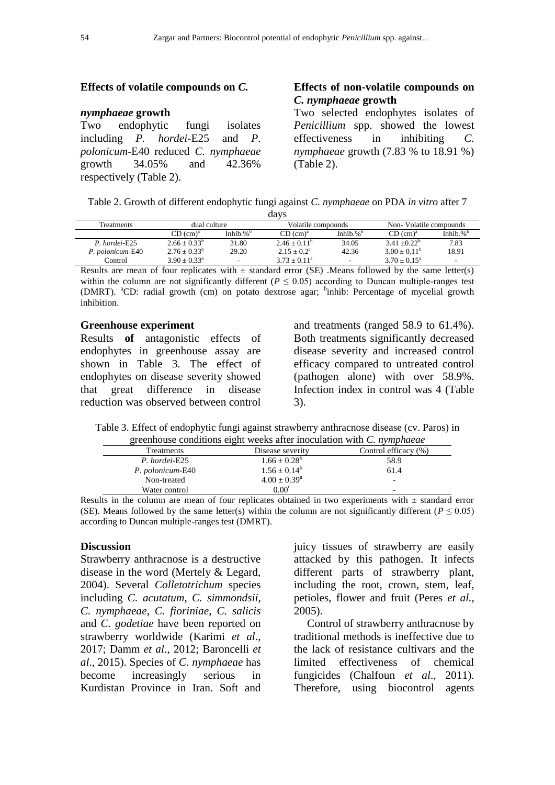#### **Effects of volatile compounds on** *C.*

#### *nymphaeae* **growth**

Two endophytic fungi isolates including *P. hordei*-E25 and *P. polonicum*-E40 reduced *C. nymphaeae* growth 34.05% and 42.36% respectively (Table 2).

## **Effects of non-volatile compounds on**  *C. nymphaeae* **growth**

Two selected endophytes isolates of *Penicillium* spp. showed the lowest effectiveness in inhibiting *C. nymphaeae* growth (7.83 % to 18.91 %) (Table 2).

Table 2. Growth of different endophytic fungi against *C. nymphaeae* on PDA *in vitro* after 7

|                  |                      |              | davs                    |              |                        |                     |
|------------------|----------------------|--------------|-------------------------|--------------|------------------------|---------------------|
| Treatments       | dual culture         |              | Volatile compounds      |              | Non-Volatile compounds |                     |
|                  | CD (cm) <sup>a</sup> | Inhib. $%^b$ | CD (cm) <sup>a</sup>    | Inhib. $%^b$ | CD (cm) <sup>a</sup>   | Inhib.% $b^{\circ}$ |
| P. hordei-E25    | $2.66 + 0.33^b$      | 31.80        | $2.46 \pm 0.11^{\circ}$ | 34.05        | $3.41 + 0.22^b$        | 7.83                |
| P. polonicum-E40 | $2.76 + 0.33^b$      | 29.20        | $2.15 + 0.2^{\circ}$    | 42.36        | $3.00 + 0.11^b$        | 18.91               |
| Control          | $3.90 + 0.33^a$      | $\sim$       | $3.73 + 0.11^a$         |              | $3.70 + 0.15^{\circ}$  |                     |

Results are mean of four replicates with  $\pm$  standard error (SE). Means followed by the same letter(s) within the column are not significantly different  $(P \le 0.05)$  according to Duncan multiple-ranges test (DMRT). <sup>a</sup>CD: radial growth (cm) on potato dextrose agar; <sup>b</sup>inhib: Percentage of mycelial growth inhibition.

#### **Greenhouse experiment**

Results **of** antagonistic effects of endophytes in greenhouse assay are shown in Table 3. The effect of endophytes on disease severity showed that great difference in disease reduction was observed between control

and treatments (ranged 58.9 to 61.4%). Both treatments significantly decreased disease severity and increased control efficacy compared to untreated control (pathogen alone) with over 58.9%. Infection index in control was 4 (Table 3).

Table 3. Effect of endophytic fungi against strawberry anthracnose disease (cv. Paros) in greenhouse conditions eight weeks after inoculation with *C. nymphaeae*

| Treatments       | Disease severity      | Control efficacy (%)     |
|------------------|-----------------------|--------------------------|
| P. hordei-E25    | $1.66 + 0.28^b$       | 58.9                     |
| P. polonicum-E40 | $1.56 + 0.14^b$       | 61.4                     |
| Non-treated      | $4.00 + 0.39^{\rm a}$ | $\overline{\phantom{0}}$ |
| Water control    | 0.00 <sup>c</sup>     | $\overline{\phantom{0}}$ |

Results in the column are mean of four replicates obtained in two experiments with  $\pm$  standard error (SE). Means followed by the same letter(s) within the column are not significantly different ( $P \le 0.05$ ) according to Duncan multiple-ranges test (DMRT).

#### **Discussion**

Strawberry anthracnose is a destructive disease in the word (Mertely & Legard, 2004). Several *Colletotrichum* species including *C. acutatum*, *C. simmondsii*, *C. nymphaeae*, *C. fioriniae*, *C. salicis* and *C. godetiae* have been reported on strawberry worldwide (Karimi *et al*., 2017; Damm *et al*., 2012; Baroncelli *et al*., 2015). Species of *C. nymphaeae* has become increasingly serious in Kurdistan Province in Iran. Soft and

juicy tissues of strawberry are easily attacked by this pathogen. It infects different parts of strawberry plant, including the root, crown, stem, leaf, petioles, flower and fruit (Peres *et al.,* 2005).

Control of strawberry anthracnose by traditional methods is ineffective due to the lack of resistance cultivars and the limited effectiveness of chemical fungicides (Chalfoun *et al*., 2011). Therefore, using biocontrol agents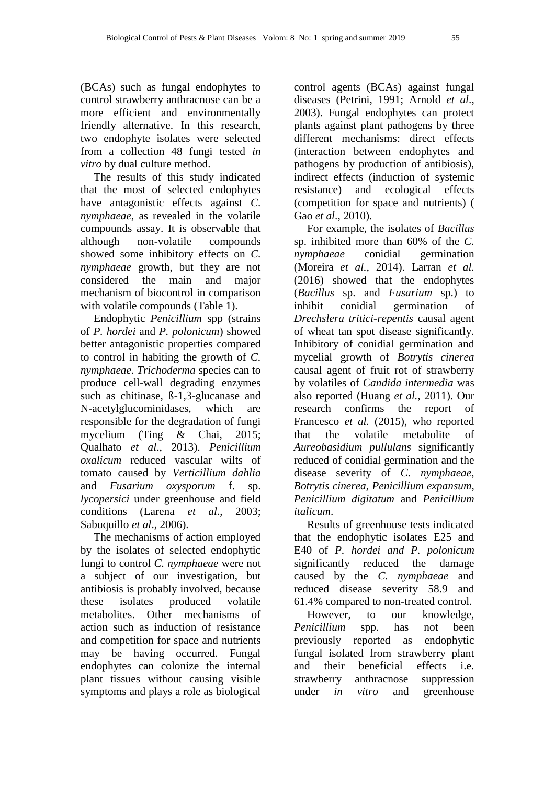(BCAs) such as fungal endophytes to control strawberry anthracnose can be a more efficient and environmentally friendly alternative. In this research, two endophyte isolates were selected from a collection 48 fungi tested *in vitro* by dual culture method.

The results of this study indicated that the most of selected endophytes have antagonistic effects against *C. nymphaeae*, as revealed in the volatile compounds assay. It is observable that although non-volatile compounds showed some inhibitory effects on *C. nymphaeae* growth, but they are not considered the main and major mechanism of biocontrol in comparison with volatile compounds (Table 1).

Endophytic *Penicillium* spp (strains of *P. hordei* and *P. polonicum*) showed better antagonistic properties compared to control in habiting the growth of *C. nymphaeae*. *Trichoderma* species can to produce cell-wall degrading enzymes such as chitinase, ß-1,3-glucanase and N-acetylglucominidases, which are responsible for the degradation of fungi mycelium (Ting & Chai, 2015; Qualhato *et al*., 2013). *Penicillium oxalicum* reduced vascular wilts of tomato caused by *Verticillium dahlia* and *Fusarium oxysporum* f. sp. *lycopersici* under greenhouse and field conditions (Larena *et al*., 2003; Sabuquillo *et al*., 2006).

The mechanisms of action employed by the isolates of selected endophytic fungi to control *C. nymphaeae* were not a subject of our investigation, but antibiosis is probably involved, because these isolates produced volatile metabolites. Other mechanisms of action such as induction of resistance and competition for space and nutrients may be having occurred. Fungal endophytes can colonize the internal plant tissues without causing visible symptoms and plays a role as biological

control agents (BCAs) against fungal diseases (Petrini, 1991; Arnold *et al*., 2003). Fungal endophytes can protect plants against plant pathogens by three different mechanisms: direct effects (interaction between endophytes and pathogens by production of antibiosis), indirect effects (induction of systemic resistance) and ecological effects (competition for space and nutrients) ( Gao *et al*., 2010).

For example, the isolates of *Bacillus* sp. inhibited more than 60% of the *C. nymphaeae* conidial germination (Moreira *et al.,* 2014). Larran *et al.* (2016) showed that the endophytes (*Bacillus* sp. and *Fusarium* sp.) to inhibit conidial germination of *Drechslera tritici-repentis* causal agent of wheat tan spot disease significantly. Inhibitory of conidial germination and mycelial growth of *Botrytis cinerea* causal agent of fruit rot of strawberry by volatiles of *Candida intermedia* was also reported (Huang *et al.,* 2011). Our research confirms the report of Francesco *et al.* (2015), who reported that the volatile metabolite of *Aureobasidium pullulans* significantly reduced of conidial germination and the disease severity of *C. nymphaeae*, *Botrytis cinerea*, *Penicillium expansum*, *Penicillium digitatum* and *Penicillium italicum*.

Results of greenhouse tests indicated that the endophytic isolates E25 and E40 of *P. hordei and P. polonicum* significantly reduced the damage caused by the *C. nymphaeae* and reduced disease severity 58.9 and 61.4% compared to non-treated control.

However, to our knowledge, *Penicillium* spp. has not been previously reported as endophytic fungal isolated from strawberry plant and their beneficial effects i.e. strawberry anthracnose suppression under *in vitro* and greenhouse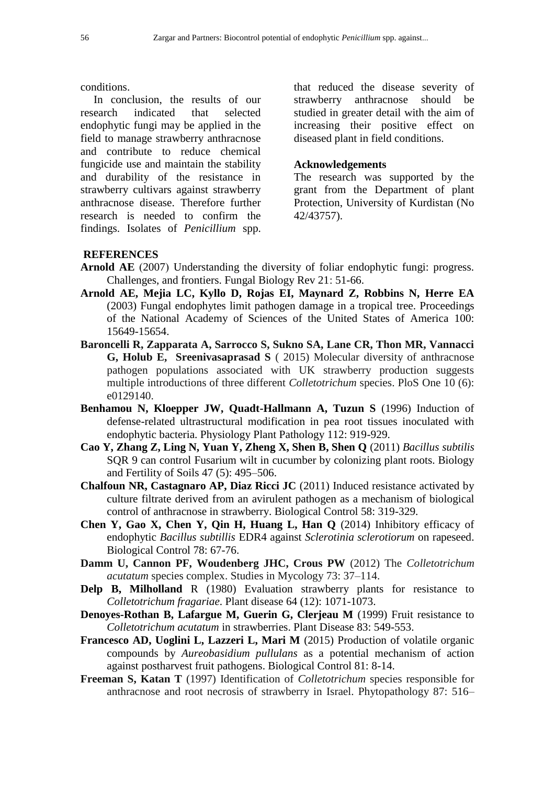conditions.

In conclusion, the results of our research indicated that selected endophytic fungi may be applied in the field to manage strawberry anthracnose and contribute to reduce chemical fungicide use and maintain the stability and durability of the resistance in strawberry cultivars against strawberry anthracnose disease. Therefore further research is needed to confirm the findings. Isolates of *Penicillium* spp.

that reduced the disease severity of strawberry anthracnose should be studied in greater detail with the aim of increasing their positive effect on diseased plant in field conditions.

### **Acknowledgements**

The research was supported by the grant from the Department of plant Protection, University of Kurdistan (No 42/43757).

### **REFERENCES**

- **Arnold AE** (2007) Understanding the diversity of foliar endophytic fungi: progress. Challenges, and frontiers. Fungal Biology Rev 21: 51-66.
- **Arnold AE, Mejia LC, Kyllo D, Rojas EI, Maynard Z, Robbins N, Herre EA** (2003) Fungal endophytes limit pathogen damage in a tropical tree. Proceedings of the National Academy of Sciences of the United States of America 100: 15649-15654.
- **Baroncelli R, Zapparata A, Sarrocco S, Sukno SA, Lane CR, Thon MR, Vannacci G, Holub E, Sreenivasaprasad S** ( 2015) Molecular diversity of anthracnose pathogen populations associated with UK strawberry production suggests multiple introductions of three different *Colletotrichum* species. PloS One 10 (6): e0129140.
- **Benhamou N, Kloepper JW, Quadt-Hallmann A, Tuzun S** (1996) Induction of defense-related ultrastructural modification in pea root tissues inoculated with endophytic bacteria. Physiology Plant Pathology 112: 919-929.
- **Cao Y, Zhang Z, Ling N, Yuan Y, Zheng X, Shen B, Shen Q** (2011) *Bacillus subtilis*  SQR 9 can control Fusarium wilt in cucumber by colonizing plant roots. Biology and Fertility of Soils 47 (5): 495–506.
- **Chalfoun NR, Castagnaro AP, Diaz Ricci JC** (2011) Induced resistance activated by culture filtrate derived from an avirulent pathogen as a mechanism of biological control of anthracnose in strawberry. Biological Control 58: 319-329.
- **Chen Y, Gao X, Chen Y, Qin H, Huang L, Han Q** (2014) Inhibitory efficacy of endophytic *Bacillus subtillis* EDR4 against *Sclerotinia sclerotiorum* on rapeseed. Biological Control 78: 67-76.
- **Damm U, Cannon PF, Woudenberg JHC, Crous PW** (2012) The *Colletotrichum acutatum* species complex. Studies in Mycology 73: 37–114.
- **Delp B, Milholland** R (1980) Evaluation strawberry plants for resistance to *Colletotrichum fragariae*. Plant disease 64 (12): 1071-1073.
- **Denoyes-Rothan B, Lafargue M, Guerin G, Clerjeau M** (1999) Fruit resistance to *Colletotrichum acutatum* in strawberries. Plant Disease 83: 549-553.
- **Francesco AD, Uoglini L, Lazzeri L, Mari M** (2015) Production of volatile organic compounds by *Aureobasidium pullulans* as a potential mechanism of action against postharvest fruit pathogens. Biological Control 81: 8-14.
- **Freeman S, Katan T** (1997) Identification of *Colletotrichum* species responsible for anthracnose and root necrosis of strawberry in Israel. Phytopathology 87: 516–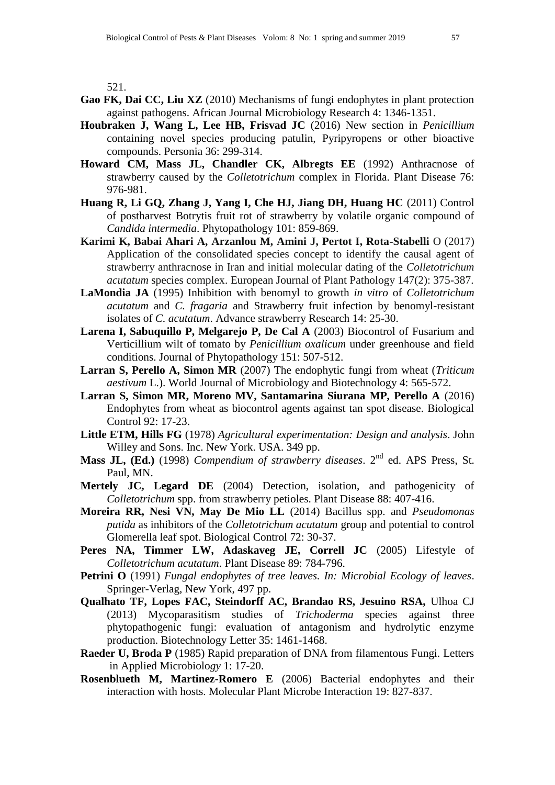521.

- **Gao FK, Dai CC, Liu XZ** (2010) Mechanisms of fungi endophytes in plant protection against pathogens. African Journal Microbiology Research 4: 1346-1351.
- **Houbraken J, Wang L, Lee HB, Frisvad JC** (2016) New section in *Penicillium* containing novel species producing patulin, Pyripyropens or other bioactive compounds. Personia 36: 299-314.
- **Howard CM, Mass JL, Chandler CK, Albregts EE** (1992) Anthracnose of strawberry caused by the *Colletotrichum* complex in Florida. Plant Disease 76: 976-981.
- **Huang R, Li GQ, Zhang J, Yang I, Che HJ, Jiang DH, Huang HC** (2011) Control of postharvest Botrytis fruit rot of strawberry by volatile organic compound of *Candida intermedia*. Phytopathology 101: 859-869.
- **Karimi K, Babai Ahari A, Arzanlou M, Amini J, Pertot I, Rota-Stabelli** O (2017) Application of the consolidated species concept to identify the causal agent of strawberry anthracnose in Iran and initial molecular dating of the *Colletotrichum acutatum* species complex. European Journal of Plant Pathology 147(2): 375-387.
- **LaMondia JA** (1995) Inhibition with benomyl to growth *in vitro* of *Colletotrichum acutatum* and *C. fragaria* and Strawberry fruit infection by benomyl-resistant isolates of *C. acutatum*. Advance strawberry Research 14: 25-30.
- **Larena I, Sabuquillo P, Melgarejo P, De Cal A** (2003) Biocontrol of Fusarium and Verticillium wilt of tomato by *Penicillium oxalicum* under greenhouse and field conditions. Journal of Phytopathology 151: 507-512.
- **Larran S, Perello A, Simon MR** (2007) The endophytic fungi from wheat (*Triticum aestivum* L.). World Journal of Microbiology and Biotechnology 4: 565-572.
- **Larran S, Simon MR, Moreno MV, Santamarina Siurana MP, Perello A** (2016) Endophytes from wheat as biocontrol agents against tan spot disease. Biological Control 92: 17-23.
- <span id="page-10-0"></span>**Little ETM, Hills FG** (1978) *Agricultural experimentation: Design and analysis*. John Willey and Sons. Inc. New York. USA. 349 pp.
- **Mass JL, (Ed.)** (1998) *Compendium of strawberry diseases*. 2nd ed. APS Press, St. Paul, MN.
- **Mertely JC, Legard DE** (2004) Detection, isolation, and pathogenicity of *Colletotrichum* spp. from strawberry petioles. Plant Disease 88: 407-416.
- **Moreira RR, Nesi VN, May De Mio LL** (2014) Bacillus spp. and *Pseudomonas putida* as inhibitors of the *Colletotrichum acutatum* group and potential to control Glomerella leaf spot. Biological Control 72: 30-37.
- Peres NA, Timmer LW, Adaskaveg JE, Correll JC (2005) Lifestyle of *Colletotrichum acutatum*. Plant Disease 89: 784-796.
- **Petrini O** (1991) *Fungal endophytes of tree leaves. In: Microbial Ecology of leaves*. Springer-Verlag, New York, 497 pp.
- **Qualhato TF, Lopes FAC, Steindorff AC, Brandao RS, Jesuino RSA,** Ulhoa CJ (2013) Mycoparasitism studies of *Trichoderma* species against three phytopathogenic fungi: evaluation of antagonism and hydrolytic enzyme production. Biotechnology Letter 35: 1461-1468.
- **Raeder U, Broda P** (1985) Rapid preparation of DNA from filamentous Fungi. Letters in Applied Microbiolo*gy* 1: 17-20.
- **Rosenblueth M, Martinez-Romero E** (2006) Bacterial endophytes and their interaction with hosts. Molecular Plant Microbe Interaction 19: 827-837.